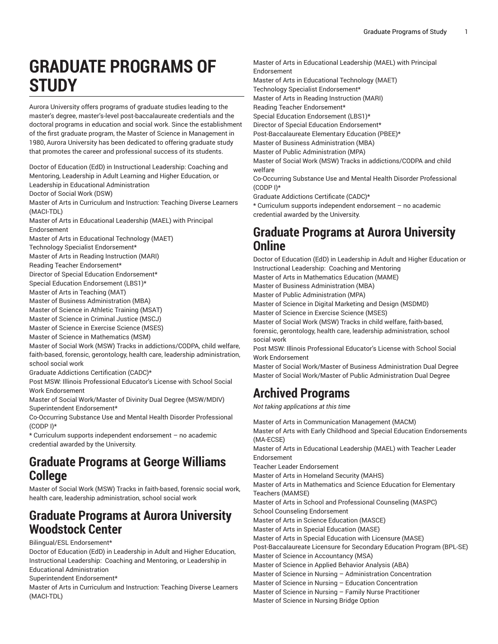# **GRADUATE PROGRAMS OF STUDY**

Aurora University offers programs of graduate studies leading to the master's degree, master's-level post-baccalaureate credentials and the doctoral programs in education and social work. Since the establishment of the first graduate program, the Master of Science in Management in 1980, Aurora University has been dedicated to offering graduate study that promotes the career and professional success of its students.

Doctor of Education (EdD) in Instructional Leadership: Coaching and Mentoring, Leadership in Adult Learning and Higher Education, or Leadership in Educational Administration

Doctor of Social Work (DSW)

Master of Arts in Curriculum and Instruction: Teaching Diverse Learners (MACI-TDL)

Master of Arts in Educational Leadership (MAEL) with Principal Endorsement

Master of Arts in Educational Technology (MAET)

Technology Specialist Endorsement\*

Master of Arts in Reading Instruction (MARI)

Reading Teacher Endorsement\*

Director of Special Education Endorsement\*

Special Education Endorsement (LBS1)\*

Master of Arts in Teaching (MAT)

Master of Business Administration (MBA)

Master of Science in Athletic Training (MSAT)

Master of Science in Criminal Justice (MSCJ)

Master of Science in Exercise Science (MSES)

Master of Science in Mathematics (MSM)

Master of Social Work (MSW) Tracks in addictions/CODPA, child welfare, faith-based, forensic, gerontology, health care, leadership administration, school social work

Graduate Addictions Certification (CADC)\*

Post MSW: Illinois Professional Educator's License with School Social Work Endorsement

Master of Social Work/Master of Divinity Dual Degree (MSW/MDIV) Superintendent Endorsement\*

Co-Occurring Substance Use and Mental Health Disorder Professional (CODP I)\*

\* Curriculum supports independent endorsement – no academic credential awarded by the University.

#### **Graduate Programs at George Williams College**

Master of Social Work (MSW) Tracks in faith-based, forensic social work, health care, leadership administration, school social work

### **Graduate Programs at Aurora University Woodstock Center**

Bilingual/ESL Endorsement\*

Doctor of Education (EdD) in Leadership in Adult and Higher Education, Instructional Leadership: Coaching and Mentoring, or Leadership in Educational Administration

Superintendent Endorsement\*

Master of Arts in Curriculum and Instruction: Teaching Diverse Learners (MACI-TDL)

Master of Arts in Educational Leadership (MAEL) with Principal Endorsement Master of Arts in Educational Technology (MAET) Technology Specialist Endorsement\* Master of Arts in Reading Instruction (MARI)

Reading Teacher Endorsement\*

Special Education Endorsement (LBS1)\*

Director of Special Education Endorsement\*

Post-Baccalaureate Elementary Education (PBEE)\*

Master of Business Administration (MBA) Master of Public Administration (MPA)

Master of Social Work (MSW) Tracks in addictions/CODPA and child welfare

Co-Occurring Substance Use and Mental Health Disorder Professional (CODP I)\*

Graduate Addictions Certificate (CADC)\*

\* Curriculum supports independent endorsement – no academic credential awarded by the University.

### **Graduate Programs at Aurora University Online**

Doctor of Education (EdD) in Leadership in Adult and Higher Education or Instructional Leadership: Coaching and Mentoring Master of Arts in Mathematics Education (MAME)

Master of Business Administration (MBA)

Master of Public Administration (MPA)

Master of Science in Digital Marketing and Design (MSDMD)

Master of Science in Exercise Science (MSES)

Master of Social Work (MSW) Tracks in child welfare, faith-based, forensic, gerontology, health care, leadership administration, school social work

Post MSW: Illinois Professional Educator's License with School Social Work Endorsement

Master of Social Work/Master of Business Administration Dual Degree Master of Social Work/Master of Public Administration Dual Degree

## **Archived Programs**

*Not taking applications at this time*

Master of Arts in Communication Management (MACM) Master of Arts with Early Childhood and Special Education Endorsements (MA-ECSE) Master of Arts in Educational Leadership (MAEL) with Teacher Leader Endorsement Teacher Leader Endorsement Master of Arts in Homeland Security (MAHS) Master of Arts in Mathematics and Science Education for Elementary Teachers (MAMSE) Master of Arts in School and Professional Counseling (MASPC) School Counseling Endorsement Master of Arts in Science Education (MASCE) Master of Arts in Special Education (MASE) Master of Arts in Special Education with Licensure (MASE) Post-Baccalaureate Licensure for Secondary Education Program (BPL-SE) Master of Science in Accountancy (MSA) Master of Science in Applied Behavior Analysis (ABA) Master of Science in Nursing – Administration Concentration Master of Science in Nursing – Education Concentration Master of Science in Nursing – Family Nurse Practitioner

Master of Science in Nursing Bridge Option